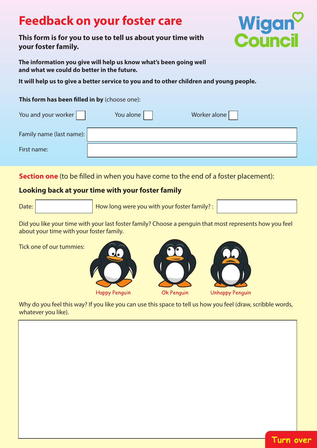# **Feedback on your foster care**

## **This form is for you to use to tell us about your time with your foster family.**



**The information you give will help us know what's been going well and what we could do better in the future.**

**It will help us to give a better service to you and to other children and young people.**

#### **This form has been filled in by** (choose one):

| You and your worker      | You alone | Worker alone |  |
|--------------------------|-----------|--------------|--|
| Family name (last name): |           |              |  |
| First name:              |           |              |  |

**Section one** (to be filled in when you have come to the end of a foster placement):

### **Looking back at your time with your foster family**

How long were you with your foster family? :

Did you like your time with your last foster family? Choose a penguin that most represents how you feel about your time with your foster family.

Tick one of our tummies:







Why do you feel this way? If you like you can use this space to tell us how you feel (draw, scribble words, whatever you like).